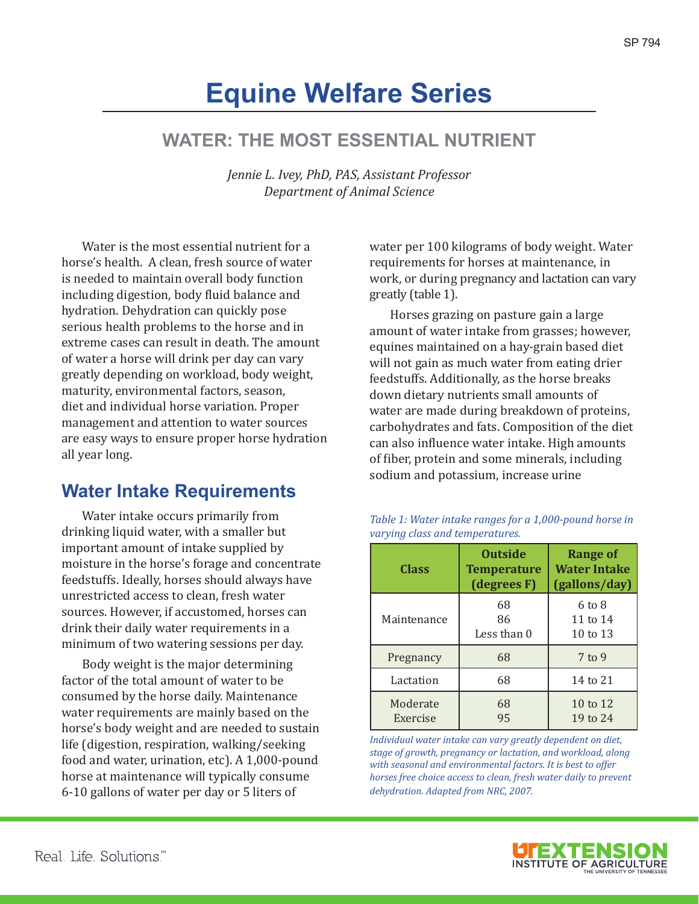# **Equine Welfare Series**

## **WATER: THE MOST ESSENTIAL NUTRIENT**

*Jennie L. Ivey, PhD, PAS, Assistant Professor Department of Animal Science*

Water is the most essential nutrient for a horse's health. A clean, fresh source of water is needed to maintain overall body function including digestion, body fluid balance and hydration. Dehydration can quickly pose serious health problems to the horse and in extreme cases can result in death. The amount of water a horse will drink per day can vary greatly depending on workload, body weight, maturity, environmental factors, season, diet and individual horse variation. Proper management and attention to water sources are easy ways to ensure proper horse hydration all year long.

### **Water Intake Requirements**

Water intake occurs primarily from drinking liquid water, with a smaller but important amount of intake supplied by moisture in the horse's forage and concentrate feedstuffs. Ideally, horses should always have unrestricted access to clean, fresh water sources. However, if accustomed, horses can drink their daily water requirements in a minimum of two watering sessions per day.

Body weight is the major determining factor of the total amount of water to be consumed by the horse daily. Maintenance water requirements are mainly based on the horse's body weight and are needed to sustain life (digestion, respiration, walking/seeking food and water, urination, etc). A 1,000-pound horse at maintenance will typically consume 6-10 gallons of water per day or 5 liters of

water per 100 kilograms of body weight. Water requirements for horses at maintenance, in work, or during pregnancy and lactation can vary greatly (table 1).

Horses grazing on pasture gain a large amount of water intake from grasses; however, equines maintained on a hay-grain based diet will not gain as much water from eating drier feedstuffs. Additionally, as the horse breaks down dietary nutrients small amounts of water are made during breakdown of proteins, carbohydrates and fats. Composition of the diet can also influence water intake. High amounts of fiber, protein and some minerals, including sodium and potassium, increase urine

| Class                | <b>Outside</b><br><b>Temperature</b><br>(degrees F) | <b>Range of</b><br><b>Water Intake</b><br>(gallons/day) |
|----------------------|-----------------------------------------------------|---------------------------------------------------------|
| Maintenance          | 68<br>86<br>Less than 0                             | $6 \text{ to } 8$<br>11 to 14<br>10 to 13               |
| Pregnancy            | 68                                                  | $7$ to 9                                                |
| Lactation            | 68                                                  | 14 to 21                                                |
| Moderate<br>Exercise | 68<br>95                                            | 10 to 12<br>19 to 24                                    |

*Table 1: Water intake ranges for a 1,000-pound horse in varying class and temperatures.*

*Individual water intake can vary greatly dependent on diet, stage of growth, pregnancy or lactation, and workload, along with seasonal and environmental factors. It is best to offer horses free choice access to clean, fresh water daily to prevent dehydration. Adapted from NRC, 2007.* 

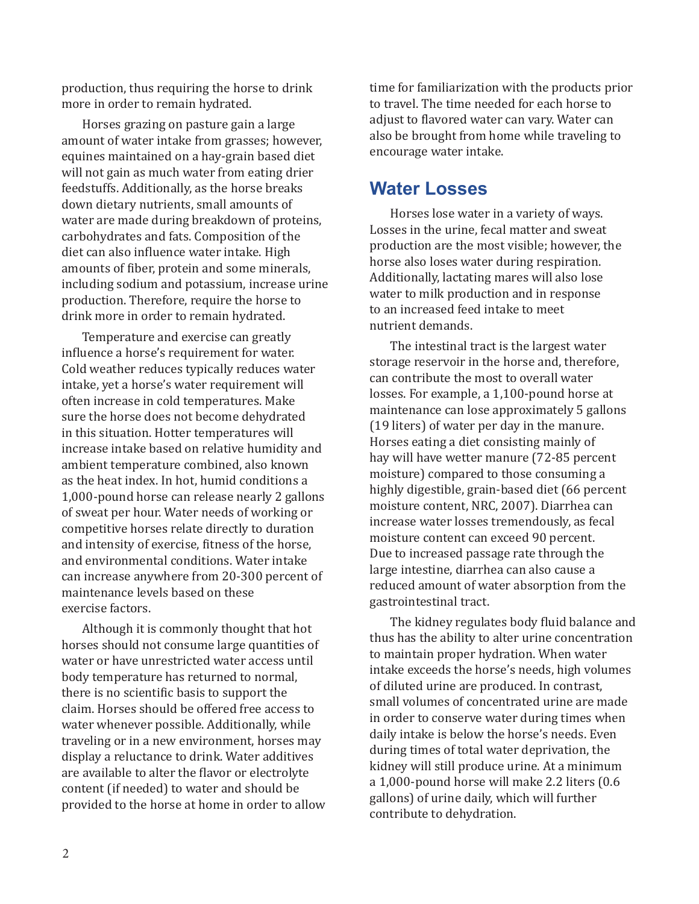production, thus requiring the horse to drink more in order to remain hydrated.

Horses grazing on pasture gain a large amount of water intake from grasses; however, equines maintained on a hay-grain based diet will not gain as much water from eating drier feedstuffs. Additionally, as the horse breaks down dietary nutrients, small amounts of water are made during breakdown of proteins, carbohydrates and fats. Composition of the diet can also influence water intake. High amounts of fiber, protein and some minerals, including sodium and potassium, increase urine production. Therefore, require the horse to drink more in order to remain hydrated.

Temperature and exercise can greatly influence a horse's requirement for water. Cold weather reduces typically reduces water intake, yet a horse's water requirement will often increase in cold temperatures. Make sure the horse does not become dehydrated in this situation. Hotter temperatures will increase intake based on relative humidity and ambient temperature combined, also known as the heat index. In hot, humid conditions a 1,000-pound horse can release nearly 2 gallons of sweat per hour. Water needs of working or competitive horses relate directly to duration and intensity of exercise, fitness of the horse, and environmental conditions. Water intake can increase anywhere from 20-300 percent of maintenance levels based on these exercise factors.

Although it is commonly thought that hot horses should not consume large quantities of water or have unrestricted water access until body temperature has returned to normal, there is no scientific basis to support the claim. Horses should be offered free access to water whenever possible. Additionally, while traveling or in a new environment, horses may display a reluctance to drink. Water additives are available to alter the flavor or electrolyte content (if needed) to water and should be provided to the horse at home in order to allow time for familiarization with the products prior to travel. The time needed for each horse to adjust to flavored water can vary. Water can also be brought from home while traveling to encourage water intake.

#### **Water Losses**

Horses lose water in a variety of ways. Losses in the urine, fecal matter and sweat production are the most visible; however, the horse also loses water during respiration. Additionally, lactating mares will also lose water to milk production and in response to an increased feed intake to meet nutrient demands.

The intestinal tract is the largest water storage reservoir in the horse and, therefore, can contribute the most to overall water losses. For example, a 1,100-pound horse at maintenance can lose approximately 5 gallons (19 liters) of water per day in the manure. Horses eating a diet consisting mainly of hay will have wetter manure (72-85 percent moisture) compared to those consuming a highly digestible, grain-based diet (66 percent moisture content, NRC, 2007). Diarrhea can increase water losses tremendously, as fecal moisture content can exceed 90 percent. Due to increased passage rate through the large intestine, diarrhea can also cause a reduced amount of water absorption from the gastrointestinal tract.

The kidney regulates body fluid balance and thus has the ability to alter urine concentration to maintain proper hydration. When water intake exceeds the horse's needs, high volumes of diluted urine are produced. In contrast, small volumes of concentrated urine are made in order to conserve water during times when daily intake is below the horse's needs. Even during times of total water deprivation, the kidney will still produce urine. At a minimum a 1,000-pound horse will make 2.2 liters (0.6 gallons) of urine daily, which will further contribute to dehydration.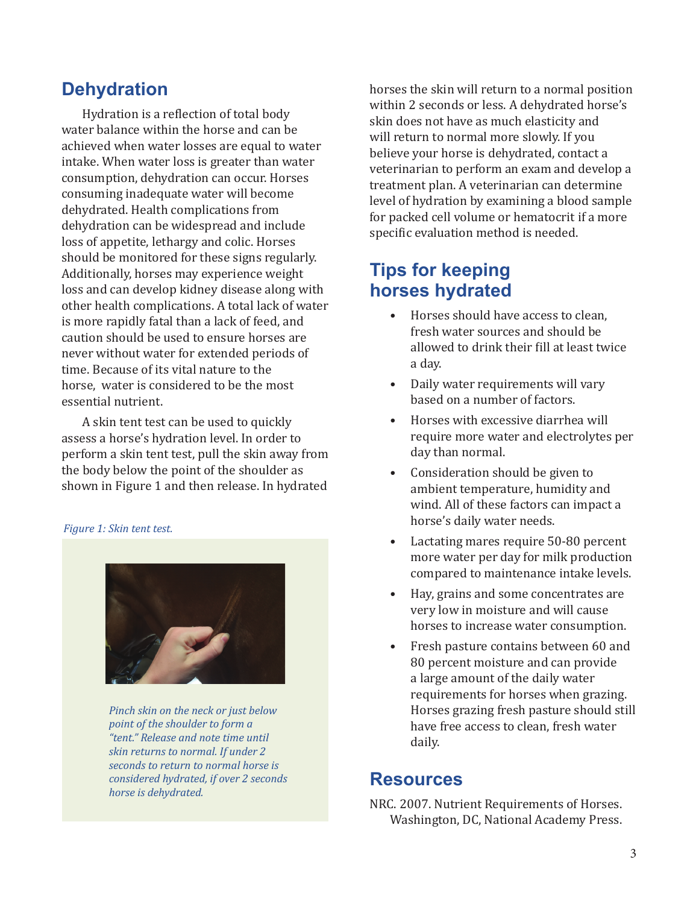### **Dehydration**

Hydration is a reflection of total body water balance within the horse and can be achieved when water losses are equal to water intake. When water loss is greater than water consumption, dehydration can occur. Horses consuming inadequate water will become dehydrated. Health complications from dehydration can be widespread and include loss of appetite, lethargy and colic. Horses should be monitored for these signs regularly. Additionally, horses may experience weight loss and can develop kidney disease along with other health complications. A total lack of water is more rapidly fatal than a lack of feed, and caution should be used to ensure horses are never without water for extended periods of time. Because of its vital nature to the horse, water is considered to be the most essential nutrient.

A skin tent test can be used to quickly assess a horse's hydration level. In order to perform a skin tent test, pull the skin away from the body below the point of the shoulder as shown in Figure 1 and then release. In hydrated

#### *Figure 1: Skin tent test.*



*Pinch skin on the neck or just below point of the shoulder to form a "tent." Release and note time until skin returns to normal. If under 2 seconds to return to normal horse is considered hydrated, if over 2 seconds horse is dehydrated.* 

horses the skin will return to a normal position within 2 seconds or less. A dehydrated horse's skin does not have as much elasticity and will return to normal more slowly. If you believe your horse is dehydrated, contact a veterinarian to perform an exam and develop a treatment plan. A veterinarian can determine level of hydration by examining a blood sample for packed cell volume or hematocrit if a more specific evaluation method is needed.

### **Tips for keeping horses hydrated**

- Horses should have access to clean, fresh water sources and should be allowed to drink their fill at least twice a day.
- Daily water requirements will vary based on a number of factors.
- Horses with excessive diarrhea will require more water and electrolytes per day than normal.
- Consideration should be given to ambient temperature, humidity and wind. All of these factors can impact a horse's daily water needs.
- Lactating mares require 50-80 percent more water per day for milk production compared to maintenance intake levels.
- Hay, grains and some concentrates are very low in moisture and will cause horses to increase water consumption.
- Fresh pasture contains between 60 and 80 percent moisture and can provide a large amount of the daily water requirements for horses when grazing. Horses grazing fresh pasture should still have free access to clean, fresh water daily.

#### **Resources**

NRC. 2007. Nutrient Requirements of Horses. Washington, DC, National Academy Press.